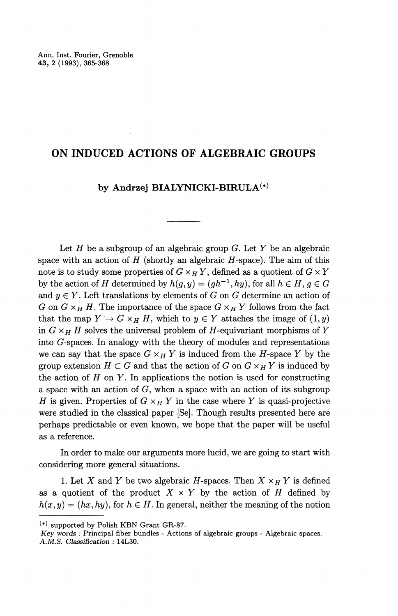## **ON INDUCED ACTIONS OF ALGEBRAIC GROUPS**

## by Andrzej BIALYNICKI-BIRULA<sup>(\*)</sup>

Let If be a subgroup of an algebraic group *G.* Let *Y* be an algebraic space with an action of  $H$  (shortly an algebraic  $H$ -space). The aim of this note is to study some properties of  $G \times_H Y$ , defined as a quotient of  $G \times Y$ by the action of *H* determined by  $h(g, y) = (gh^{-1}, hy)$ , for all  $h \in H, g \in G$ and  $y \in Y$ . Left translations by elements of G on G determine an action of *G* on  $G \times_H H$ . The importance of the space  $G \times_H Y$  follows from the fact that the map  $Y \to G \times_H H$ , which to  $y \in Y$  attaches the image of  $(1, y)$ in  $G \times_H H$  solves the universal problem of H-equivariant morphisms of Y into G-spaces. In analogy with the theory of modules and representations we can say that the space  $G \times_H Y$  is induced from the *H*-space Y by the group extension  $H \subset G$  and that the action of G on  $G \times_H Y$  is induced by the action of *H* on *Y.* In applications the notion is used for constructing a space with an action of  $G$ , when a space with an action of its subgroup *H* is given. Properties of  $G \times_H Y$  in the case where *Y* is quasi-projective were studied in the classical paper [Se]. Though results presented here are perhaps predictable or even known, we hope that the paper will be useful as a reference.

In order to make our arguments more lucid, we are going to start with considering more general situations.

1. Let X and Y be two algebraic H-spaces. Then  $X \times_H Y$  is defined as a quotient of the product  $X \times Y$  by the action of *H* defined by  $h(x, y) = (hx, hy)$ , for  $h \in H$ . In general, neither the meaning of the notion

<sup>(\*)</sup> supported by Polish KBN Grant GR-87.

*Key words :* Principal fiber bundles - Actions of algebraic groups - Algebraic spaces. *A.M.S. Classification :* 14L30.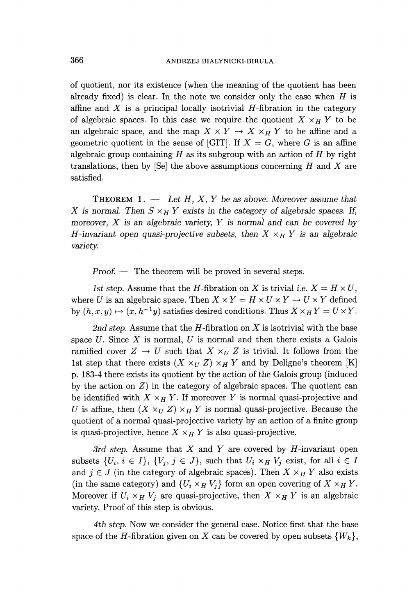of quotient, nor its existence (when the meaning of the quotient has been already fixed) is clear. In the note we consider only the case when *H* is affine and  $X$  is a principal locally isotrivial  $H$ -fibration in the category of algebraic spaces. In this case we require the quotient  $X \times_H Y$  to be an algebraic space, and the map  $X \times Y \to X \times_H Y$  to be affine and a geometric quotient in the sense of [GIT]. If  $X = G$ , where G is an affine algebraic group containing *H* as its subgroup with an action of *H* by right translations, then by [Se] the above assumptions concerning *H* and *X* are satisfied.

THEOREM 1. — *Let H, X, Y be as above. Moreover assume that X* is normal. Then  $S \times_H Y$  exists in the category of algebraic spaces. If, *moreover, X is an algebraic variety, Y is normal and can be covered by H*-invariant open quasi-projective subsets, then  $X \times_H Y$  is an algebraic *variety.*

*Proof. —* The theorem will be proved in several steps.

*1st step.* Assume that the *H*-fibration on *X* is trivial i.e.  $X = H \times U$ , where *U* is an algebraic space. Then  $X \times Y = H \times U \times Y \rightarrow U \times Y$  defined by  $(h, x, y) \mapsto (x, h^{-1}y)$  satisfies desired conditions. Thus  $X \times_H Y = U \times Y$ .

2nd step. Assume that the  $H$ -fibration on  $X$  is isotrivial with the base space *U.* Since *X* is normal, *U* is normal and then there exists a Galois ramified cover  $Z \to U$  such that  $X \times_U Z$  is trivial. It follows from the 1st step that there exists  $(X \times_U Z) \times_H Y$  and by Deligne's theorem [K] p. 183-4 there exists its quotient by the action of the Galois group (induced by the action on *Z)* in the category of algebraic spaces. The quotient can be identified with  $X \times_H Y$ . If moreover Y is normal quasi-projective and *U* is affine, then  $(X \times_U Z) \times_H Y$  is normal quasi-projective. Because the quotient of a normal quasi-projective variety by an action of a finite group is quasi-projective, hence  $X \times_H Y$  is also quasi-projective.

3rd *step.* Assume that *X* and *Y* are covered by If-invariant open subsets  $\{U_i, i \in I\}$ ,  $\{V_j, j \in J\}$ , such that  $U_i \times_H V_j$  exist, for all  $i \in I$ and  $j \in J$  (in the category of algebraic spaces). Then  $X \times_H Y$  also exists (in the same category) and  $\{U_i \times_H V_j\}$  form an open covering of  $X \times_H Y$ . Moreover if  $U_i \times_H V_j$  are quasi-projective, then  $X \times_H Y$  is an algebraic variety. Proof of this step is obvious.

4th step. Now we consider the general case. Notice first that the base space of the *H*-fibration given on *X* can be covered by open subsets  $\{W_k\}$ ,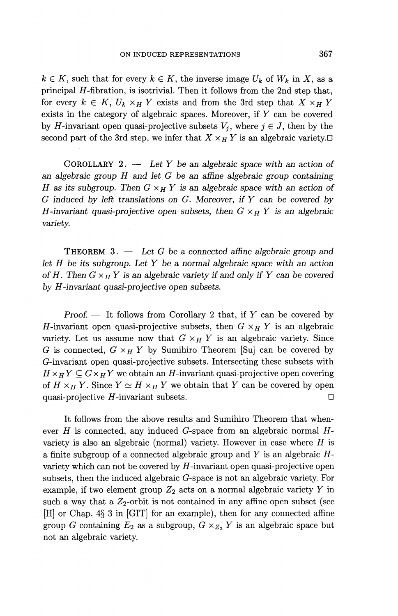$k \in K$ , such that for every  $k \in K$ , the inverse image  $U_k$  of  $W_k$  in X, as a principal  $H$ -fibration, is isotrivial. Then it follows from the 2nd step that, for every  $k \in K$ ,  $U_k \times_H Y$  exists and from the 3rd step that  $X \times_H Y$ exists in the category of algebraic spaces. Moreover, if *Y* can be covered by *H*-invariant open quasi-projective subsets  $V_i$ , where  $j \in J$ , then by the second part of the 3rd step, we infer that  $X \times_H Y$  is an algebraic variety.

COROLLARY 2. — *Let Y be an algebraic space with an action of an algebraic group H and let G be an affine algebraic group containing H as its subgroup. Then G XH Y is an algebraic space with an action of G induced by left translations on G. Moreover, if Y can be covered by H*-invariant quasi-projective open subsets, then  $G \times_H Y$  is an algebraic *variety.*

THEOREM 3. — *Let G be a connected affine algebraic group and let H be its subgroup. Let Y be a normal algebraic space with an action of H. Then*  $G \times_H Y$  *is an algebraic variety if and only if Y can be covered by H-invariant quasi-projective open subsets.*

*Proof. —* It follows from Corollary 2 that, if *Y* can be covered by *H*-invariant open quasi-projective subsets, then  $G \times_H Y$  is an algebraic variety. Let us assume now that  $G \times_H Y$  is an algebraic variety. Since *G* is connected,  $G \times_H Y$  by Sumihiro Theorem [Su] can be covered by (^-invariant open quasi-projective subsets. Intersecting these subsets with  $H \times_H Y \subseteq G \times_H Y$  we obtain an *H*-invariant quasi-projective open covering of  $H \times_H Y$ . Since  $Y \simeq H \times_H Y$  we obtain that Y can be covered by open quasi-projective  $H$ -invariant subsets.  $\Box$ 

It follows from the above results and Sumihiro Theorem that whenever *H* is connected, any induced G-space from an algebraic normal *H*variety is also an algebraic (normal) variety. However in case where *H* is a finite subgroup of a connected algebraic group and *Y* is an algebraic *H*variety which can not be covered by  $H$ -invariant open quasi-projective open subsets, then the induced algebraic G-space is not an algebraic variety. For example, if two element group *Z^* acts on a normal algebraic variety *Y* in such a way that a  $Z_2$ -orbit is not contained in any affine open subset (see [H] or Chap. 4§ 3 in [GIT] for an example), then for any connected affine group *G* containing  $E_2$  as a subgroup,  $G \times_{Z_2} Y$  is an algebraic space but not an algebraic variety.